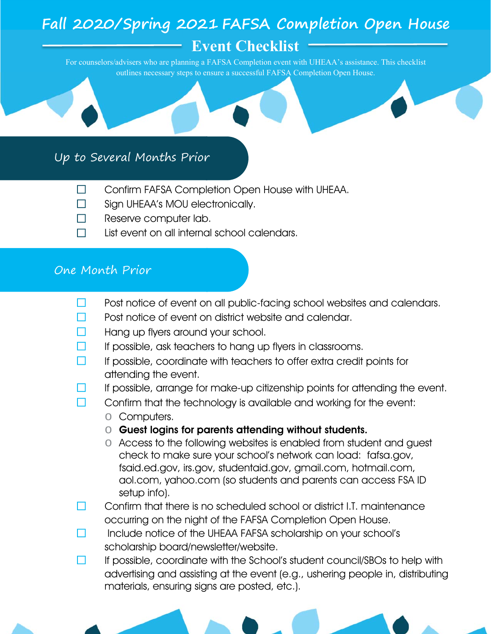# **Fall 2020/Spring 2021 FAFSA Completion Open House**

**Event Checklist** 

For counselors/advisers who are planning a FAFSA Completion event with UHEAA's assistance. This checklist outlines necessary steps to ensure a successful FAFSA Completion Open House.

## Up to Several Months Prior

- ☐ Confirm FAFSA Completion Open House with UHEAA.
- ☐ Sign UHEAA's MOU electronically.
- ☐ Reserve computer lab.
- $\Box$  List event on all internal school calendars.

## One Month Prior

- □ Post notice of event on all public-facing school websites and calendars.
- ☐ Post notice of event on district website and calendar.
- Hang up flyers around your school.
- If possible, ask teachers to hang up flyers in classrooms.
- $\Box$  If possible, coordinate with teachers to offer extra credit points for attending the event.
- $\Box$  If possible, arrange for make-up citizenship points for attending the event.
- $\Box$  Confirm that the technology is available and working for the event:
	- o Computers.
	- o Guest logins for parents attending without students.
	- o Access to the following websites is enabled from student and guest check to make sure your school's network can load: fafsa.gov, fsaid.ed.gov, irs.gov, studentaid.gov, gmail.com, hotmail.com, aol.com, yahoo.com (so students and parents can access FSA ID setup info).
- □ Confirm that there is no scheduled school or district I.T. maintenance occurring on the night of the FAFSA Completion Open House.
- $\Box$  Include notice of the UHEAA FAFSA scholarship on your school's scholarship board/newsletter/website.
- ☐ If possible, coordinate with the School's student council/SBOs to help with advertising and assisting at the event (e.g., ushering people in, distributing materials, ensuring signs are posted, etc.).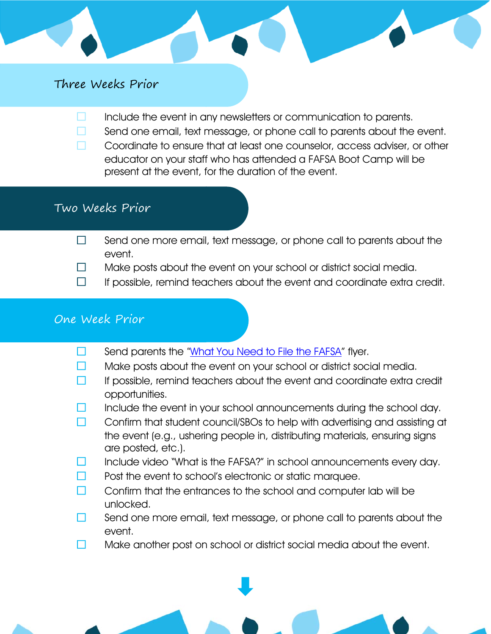#### Three Weeks Prior

- $\Box$  Include the event in any newsletters or communication to parents.
- **□** Send one email, text message, or phone call to parents about the event.
- ☐ Coordinate to ensure that at least one counselor, access adviser, or other educator on your staff who has attended a FAFSA Boot Camp will be present at the event, for the duration of the event.

### Two Weeks Prior

- $\Box$  Send one more email, text message, or phone call to parents about the event.
- $\Box$  Make posts about the event on your school or district social media.
- $\Box$  If possible, remind teachers about the event and coordinate extra credit.

#### One Week Prior

- Send parents the ["What You Need to File the FAFSA"](https://infogram.com/what-you-need-to-file-the-fafsa-1h8n6mdx05n96xo?live) flyer.
- $\Box$  Make posts about the event on your school or district social media.
- $\Box$  If possible, remind teachers about the event and coordinate extra credit opportunities.
- Include the event in your school announcements during the school day.
- ☐ Confirm that student council/SBOs to help with advertising and assisting at the event (e.g., ushering people in, distributing materials, ensuring signs are posted, etc.).
- Include video "What is the FAFSA?" in school announcements every day.
- Post the event to school's electronic or static marquee.
- □ Confirm that the entrances to the school and computer lab will be unlocked.
- $\Box$  Send one more email, text message, or phone call to parents about the event.
- $\Box$  Make another post on school or district social media about the event.